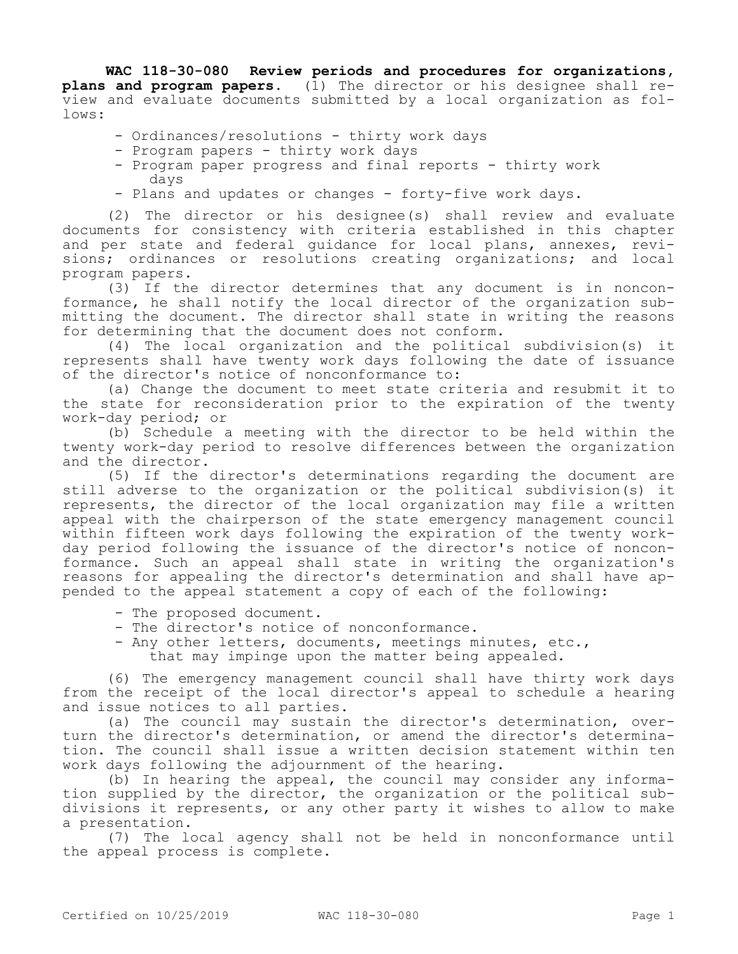**WAC 118-30-080 Review periods and procedures for organizations, plans and program papers.** (1) The director or his designee shall review and evaluate documents submitted by a local organization as follows:

- Ordinances/resolutions thirty work days
- Program papers thirty work days
- Program paper progress and final reports thirty work days
- Plans and updates or changes forty-five work days.

(2) The director or his designee(s) shall review and evaluate documents for consistency with criteria established in this chapter and per state and federal guidance for local plans, annexes, revisions; ordinances or resolutions creating organizations; and local program papers.

(3) If the director determines that any document is in nonconformance, he shall notify the local director of the organization submitting the document. The director shall state in writing the reasons for determining that the document does not conform.

(4) The local organization and the political subdivision(s) it represents shall have twenty work days following the date of issuance of the director's notice of nonconformance to:

(a) Change the document to meet state criteria and resubmit it to the state for reconsideration prior to the expiration of the twenty work-day period; or

(b) Schedule a meeting with the director to be held within the twenty work-day period to resolve differences between the organization and the director.

(5) If the director's determinations regarding the document are still adverse to the organization or the political subdivision(s) it represents, the director of the local organization may file a written appeal with the chairperson of the state emergency management council within fifteen work days following the expiration of the twenty workday period following the issuance of the director's notice of nonconformance. Such an appeal shall state in writing the organization's reasons for appealing the director's determination and shall have appended to the appeal statement a copy of each of the following:

- The proposed document.
- The director's notice of nonconformance.
- Any other letters, documents, meetings minutes, etc., that may impinge upon the matter being appealed.

(6) The emergency management council shall have thirty work days from the receipt of the local director's appeal to schedule a hearing and issue notices to all parties.

(a) The council may sustain the director's determination, overturn the director's determination, or amend the director's determination. The council shall issue a written decision statement within ten work days following the adjournment of the hearing.

(b) In hearing the appeal, the council may consider any information supplied by the director, the organization or the political subdivisions it represents, or any other party it wishes to allow to make a presentation.

(7) The local agency shall not be held in nonconformance until the appeal process is complete.